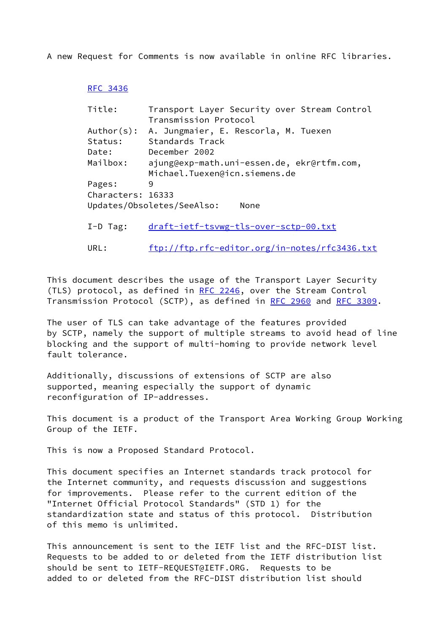A new Request for Comments is now available in online RFC libraries.

## [RFC 3436](https://datatracker.ietf.org/doc/pdf/rfc3436)

| Title:            | Transport Layer Security over Stream Control |
|-------------------|----------------------------------------------|
|                   | Transmission Protocol                        |
| Author(s):        | A. Jungmaier, E. Rescorla, M. Tuexen         |
| Status:           | Standards Track                              |
| Date:             | December 2002                                |
| Mailbox:          | ajung@exp-math.uni-essen.de, ekr@rtfm.com,   |
|                   | Michael.Tuexen@icn.siemens.de                |
| Pages:            | 9                                            |
| Characters: 16333 |                                              |
|                   | Updates/Obsoletes/SeeAlso:<br>None           |
|                   |                                              |
| $I-D$ Tag:        | draft-ietf-tsvwg-tls-over-sctp-00.txt        |
|                   |                                              |

URL: <ftp://ftp.rfc-editor.org/in-notes/rfc3436.txt>

This document describes the usage of the Transport Layer Security (TLS) protocol, as defined in [RFC 2246,](https://datatracker.ietf.org/doc/pdf/rfc2246) over the Stream Control Transmission Protocol (SCTP), as defined in [RFC 2960](https://datatracker.ietf.org/doc/pdf/rfc2960) and [RFC 3309](https://datatracker.ietf.org/doc/pdf/rfc3309).

The user of TLS can take advantage of the features provided by SCTP, namely the support of multiple streams to avoid head of line blocking and the support of multi-homing to provide network level fault tolerance.

Additionally, discussions of extensions of SCTP are also supported, meaning especially the support of dynamic reconfiguration of IP-addresses.

This document is a product of the Transport Area Working Group Working Group of the IETF.

This is now a Proposed Standard Protocol.

This document specifies an Internet standards track protocol for the Internet community, and requests discussion and suggestions for improvements. Please refer to the current edition of the "Internet Official Protocol Standards" (STD 1) for the standardization state and status of this protocol. Distribution of this memo is unlimited.

This announcement is sent to the IETF list and the RFC-DIST list. Requests to be added to or deleted from the IETF distribution list should be sent to IETF-REQUEST@IETF.ORG. Requests to be added to or deleted from the RFC-DIST distribution list should